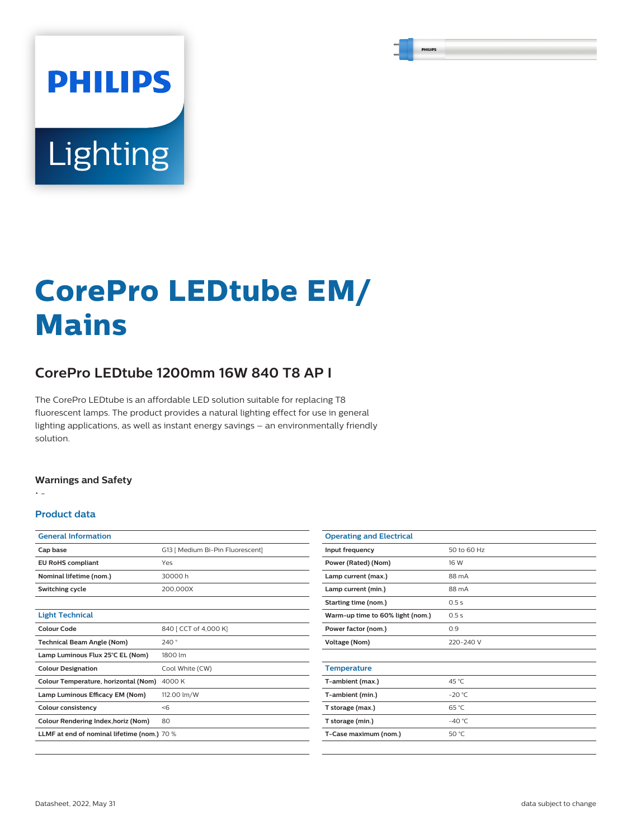# **PHILIPS** Lighting

# **CorePro LEDtube EM/ Mains**

# **CorePro LEDtube 1200mm 16W 840 T8 AP I**

The CorePro LEDtube is an affordable LED solution suitable for replacing T8 fluorescent lamps. The product provides a natural lighting effect for use in general lighting applications, as well as instant energy savings – an environmentally friendly solution.

#### **Warnings and Safety**

• -

#### **Product data**

| <b>General Information</b>                  |                                  |  |  |  |
|---------------------------------------------|----------------------------------|--|--|--|
| Cap base                                    | G13   Medium Bi-Pin Fluorescent] |  |  |  |
| <b>EU RoHS compliant</b>                    | Yes                              |  |  |  |
| Nominal lifetime (nom.)                     | 30000 h                          |  |  |  |
| Switching cycle                             | 200.000X                         |  |  |  |
|                                             |                                  |  |  |  |
| <b>Light Technical</b>                      |                                  |  |  |  |
| Colour Code                                 | 840 [ CCT of 4,000 K]            |  |  |  |
| <b>Technical Beam Angle (Nom)</b>           | 240°                             |  |  |  |
| Lamp Luminous Flux 25°C EL (Nom)            | 1800 lm                          |  |  |  |
| <b>Colour Designation</b>                   | Cool White (CW)                  |  |  |  |
| Colour Temperature, horizontal (Nom)        | 4000 K                           |  |  |  |
| Lamp Luminous Efficacy EM (Nom)             | 112.00 lm/W                      |  |  |  |
| <b>Colour consistency</b>                   | < 6                              |  |  |  |
| Colour Rendering Index, horiz (Nom)         | 80                               |  |  |  |
| LLMF at end of nominal lifetime (nom.) 70 % |                                  |  |  |  |
|                                             |                                  |  |  |  |

| <b>Operating and Electrical</b>  |             |  |  |  |
|----------------------------------|-------------|--|--|--|
| Input frequency                  | 50 to 60 Hz |  |  |  |
| Power (Rated) (Nom)              | 16 W        |  |  |  |
| Lamp current (max.)              | 88 mA       |  |  |  |
| Lamp current (min.)              | 88 mA       |  |  |  |
| Starting time (nom.)             | 0.5s        |  |  |  |
| Warm-up time to 60% light (nom.) | 0.5s        |  |  |  |
| Power factor (nom.)              | 0.9         |  |  |  |
| <b>Voltage (Nom)</b>             | 220-240 V   |  |  |  |
|                                  |             |  |  |  |
| <b>Temperature</b>               |             |  |  |  |
| T-ambient (max.)                 | 45 °C       |  |  |  |
| T-ambient (min.)                 | $-20 °C$    |  |  |  |
| T storage (max.)                 | 65 °C       |  |  |  |
| T storage (min.)                 | $-40 °C$    |  |  |  |
| T-Case maximum (nom.)            | 50 $°C$     |  |  |  |
|                                  |             |  |  |  |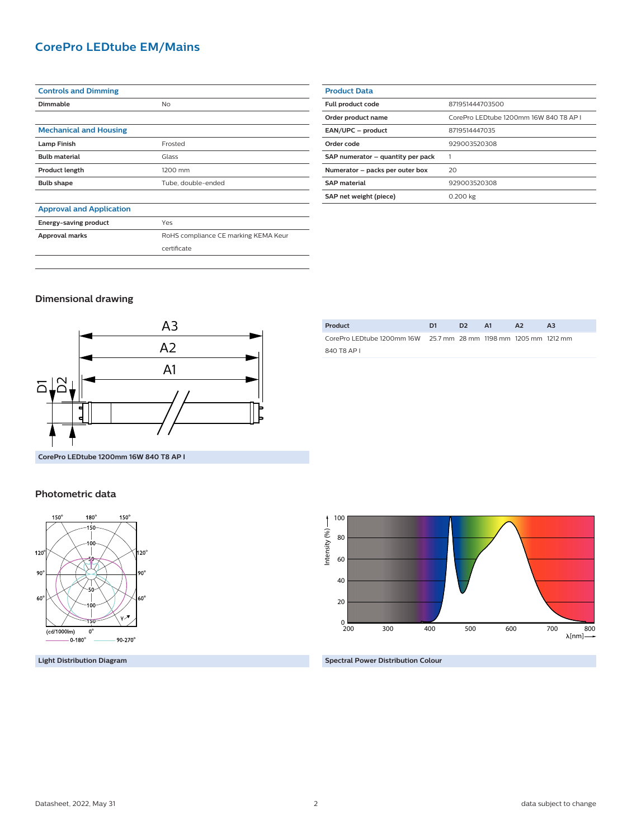### **CorePro LEDtube EM/Mains**

| <b>Controls and Dimming</b>     |                                      |  |  |  |  |
|---------------------------------|--------------------------------------|--|--|--|--|
| <b>Dimmable</b>                 | No.                                  |  |  |  |  |
|                                 |                                      |  |  |  |  |
| <b>Mechanical and Housing</b>   |                                      |  |  |  |  |
| <b>Lamp Finish</b>              | Frosted                              |  |  |  |  |
| <b>Bulb material</b>            | Glass                                |  |  |  |  |
| <b>Product length</b>           | 1200 mm                              |  |  |  |  |
| <b>Bulb shape</b>               | Tube, double-ended                   |  |  |  |  |
|                                 |                                      |  |  |  |  |
| <b>Approval and Application</b> |                                      |  |  |  |  |
| Energy-saving product           | Yes                                  |  |  |  |  |
| Approval marks                  | RoHS compliance CE marking KEMA Keur |  |  |  |  |

certificate

| <b>Product Data</b>               |                                        |  |  |  |  |
|-----------------------------------|----------------------------------------|--|--|--|--|
| Full product code                 | 871951444703500                        |  |  |  |  |
| Order product name                | CorePro LEDtube 1200mm 16W 840 T8 AP I |  |  |  |  |
| EAN/UPC - product                 | 8719514447035                          |  |  |  |  |
| Order code                        | 929003520308                           |  |  |  |  |
| SAP numerator - quantity per pack |                                        |  |  |  |  |
| Numerator - packs per outer box   | 20                                     |  |  |  |  |
| <b>SAP material</b>               | 929003520308                           |  |  |  |  |
| SAP net weight (piece)            | 0.200 kg                               |  |  |  |  |

#### **Dimensional drawing**



| Product                                                           | D <sub>1</sub> | . כח | AA | <b>A2</b> | A3 |
|-------------------------------------------------------------------|----------------|------|----|-----------|----|
| CorePro LED tube 1200mm 16W 25.7 mm 28 mm 1198 mm 1205 mm 1212 mm |                |      |    |           |    |
| 840 T8 AP L                                                       |                |      |    |           |    |

#### **Photometric data**



**Light Distribution Diagram**



#### **Spectral Power Distribution Colour**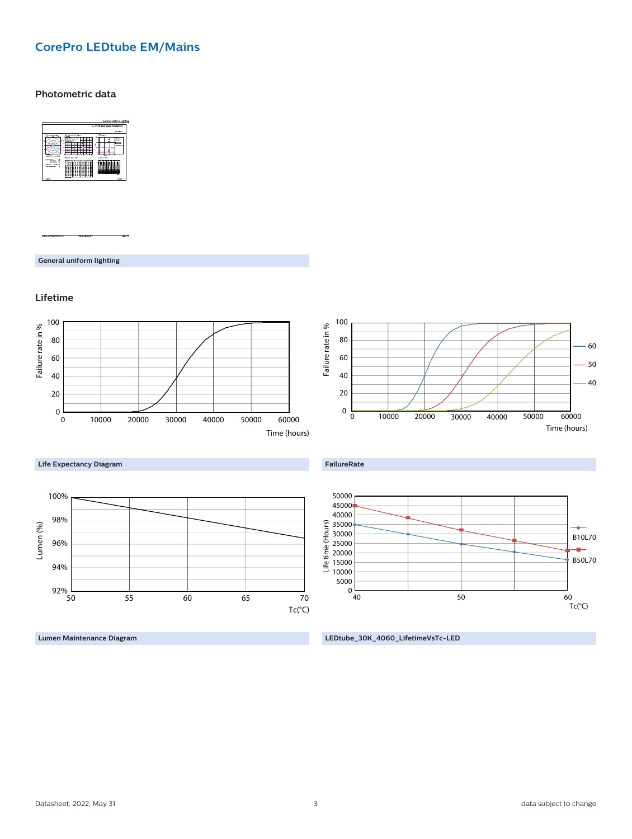# **CorePro LEDtube EM/Mains**

#### **Photometric data**



**General uniform lighting**

#### **Lifetime**



**Lumen Maintenance Diagram**

**LEDtube\_30K\_4060\_LifetimeVsTc-LED**